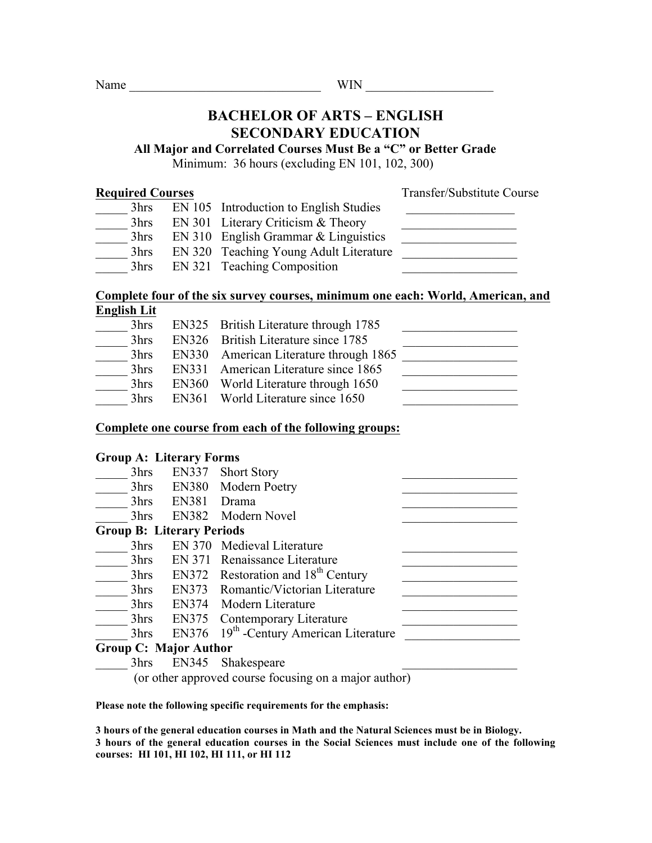# **BACHELOR OF ARTS – ENGLISH SECONDARY EDUCATION**

**All Major and Correlated Courses Must Be a "C" or Better Grade**

Minimum: 36 hours (excluding EN 101, 102, 300)

**Required Courses** Transfer/Substitute Course

| 3hrs | EN 105 Introduction to English Studies |  |
|------|----------------------------------------|--|
| 3hrs | EN 301 Literary Criticism $&$ Theory   |  |
| 3hrs | $EN 310$ English Grammar & Linguistics |  |
| 3hrs | EN 320 Teaching Young Adult Literature |  |
| 3hrs | EN 321 Teaching Composition            |  |

# **Complete four of the six survey courses, minimum one each: World, American, and English Lit**

| 3hrs | EN325 British Literature through 1785  |  |
|------|----------------------------------------|--|
| 3hrs | EN326 British Literature since 1785    |  |
| 3hrs | EN330 American Literature through 1865 |  |
| 3hrs | EN331 American Literature since 1865   |  |
| 3hrs | EN360 World Literature through 1650    |  |
| 3hrs | EN361 World Literature since 1650      |  |

# **Complete one course from each of the following groups:**

# **Group A: Literary Forms**

| 3hrs | EN337                            | <b>Short Story</b>                                    |
|------|----------------------------------|-------------------------------------------------------|
| 3hrs | EN380                            | Modern Poetry                                         |
| 3hrs | EN381                            | Drama                                                 |
| 3hrs |                                  | EN382 Modern Novel                                    |
|      | <b>Group B: Literary Periods</b> |                                                       |
| 3hrs |                                  | EN 370 Medieval Literature                            |
| 3hrs |                                  | EN 371 Renaissance Literature                         |
| 3hrs |                                  | EN372 Restoration and $18th$ Century                  |
| 3hrs |                                  | EN373 Romantic/Victorian Literature                   |
| 3hrs |                                  | EN374 Modern Literature                               |
| 3hrs | EN375                            | Contemporary Literature                               |
| 3hrs |                                  | EN376 19th -Century American Literature               |
|      | <b>Group C: Major Author</b>     |                                                       |
| 3hrs | EN345                            | Shakespeare                                           |
|      |                                  | (or other approved course focusing on a major author) |

**Please note the following specific requirements for the emphasis:**

**3 hours of the general education courses in Math and the Natural Sciences must be in Biology. 3 hours of the general education courses in the Social Sciences must include one of the following courses: HI 101, HI 102, HI 111, or HI 112**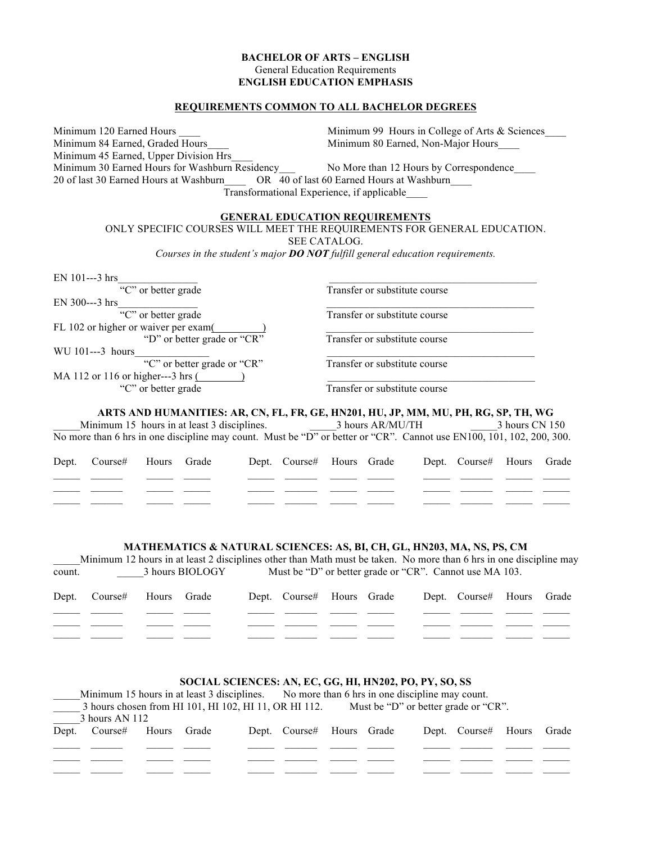### **BACHELOR OF ARTS – ENGLISH** General Education Requirements **ENGLISH EDUCATION EMPHASIS**

#### **REQUIREMENTS COMMON TO ALL BACHELOR DEGREES**

Minimum 120 Earned Hours **Minimum 99 Hours in College of Arts & Sciences** Minimum 84 Earned, Graded Hours Minimum 80 Earned, Non-Major Hours Minimum 45 Earned, Upper Division Hrs\_\_\_\_ Minimum 30 Earned Hours for Washburn Residency\_\_\_ No More than 12 Hours by Correspondence\_\_\_\_ 20 of last 30 Earned Hours at Washburn\_\_\_\_ OR 40 of last 60 Earned Hours at Washburn\_\_\_\_ Transformational Experience, if applicable\_\_\_\_

#### **GENERAL EDUCATION REQUIREMENTS**

ONLY SPECIFIC COURSES WILL MEET THE REQUIREMENTS FOR GENERAL EDUCATION.

SEE CATALOG.

*Courses in the student's major DO NOT fulfill general education requirements.*

| EN 101---3 hrs                       |                               |
|--------------------------------------|-------------------------------|
| "C" or better grade                  | Transfer or substitute course |
| EN 300---3 hrs                       |                               |
| "C" or better grade                  | Transfer or substitute course |
| FL 102 or higher or waiver per exam( |                               |
| "D" or better grade or "CR"          | Transfer or substitute course |
| WU 101---3 hours                     |                               |
| "C" or better grade or "CR"          | Transfer or substitute course |
| MA 112 or 116 or higher---3 hrs (    |                               |
| "C" or better grade                  | Transfer or substitute course |

#### **ARTS AND HUMANITIES: AR, CN, FL, FR, GE, HN201, HU, JP, MM, MU, PH, RG, SP, TH, WG**

Minimum 15 hours in at least 3 disciplines.  $\frac{3 \text{ hours AR/MU/TH}}{2 \text{ hours AR/MU/TH}}$  3 hours CN 150 No more than 6 hrs in one discipline may count. Must be "D" or better or "CR". Cannot use EN100, 101, 102, 200, 300.

| Dept. Course# Hours Grade |  |  | Dept. Course# Hours Grade | Dept. Course# Hours Grade |  |
|---------------------------|--|--|---------------------------|---------------------------|--|
|                           |  |  |                           |                           |  |
|                           |  |  |                           |                           |  |
|                           |  |  |                           |                           |  |

#### **MATHEMATICS & NATURAL SCIENCES: AS, BI, CH, GL, HN203, MA, NS, PS, CM**

|        | Minimum 12 hours in at least 2 disciplines other than Math must be taken. No more than 6 hrs in one discipline may |  |                 |                                                         |                           |  |  |  |                           |  |  |  |
|--------|--------------------------------------------------------------------------------------------------------------------|--|-----------------|---------------------------------------------------------|---------------------------|--|--|--|---------------------------|--|--|--|
| count. |                                                                                                                    |  | 3 hours BIOLOGY | Must be "D" or better grade or "CR". Cannot use MA 103. |                           |  |  |  |                           |  |  |  |
|        |                                                                                                                    |  |                 |                                                         |                           |  |  |  |                           |  |  |  |
|        | Dept. Course# Hours Grade                                                                                          |  |                 |                                                         | Dept. Course# Hours Grade |  |  |  | Dept. Course# Hours Grade |  |  |  |
|        |                                                                                                                    |  |                 |                                                         |                           |  |  |  |                           |  |  |  |
|        |                                                                                                                    |  |                 |                                                         |                           |  |  |  |                           |  |  |  |
|        |                                                                                                                    |  |                 |                                                         |                           |  |  |  |                           |  |  |  |
|        |                                                                                                                    |  |                 |                                                         |                           |  |  |  |                           |  |  |  |

#### **SOCIAL SCIENCES: AN, EC, GG, HI, HN202, PO, PY, SO, SS**

|                                                                                               | Minimum 15 hours in at least 3 disciplines. No more than 6 hrs in one discipline may count. |  |  |  |                           |  |  |  |                           |  |  |  |
|-----------------------------------------------------------------------------------------------|---------------------------------------------------------------------------------------------|--|--|--|---------------------------|--|--|--|---------------------------|--|--|--|
| 3 hours chosen from HI 101, HI 102, HI 11, OR HI 112.<br>Must be "D" or better grade or "CR". |                                                                                             |  |  |  |                           |  |  |  |                           |  |  |  |
| 3 hours AN 112                                                                                |                                                                                             |  |  |  |                           |  |  |  |                           |  |  |  |
|                                                                                               | Dept. Course# Hours Grade                                                                   |  |  |  | Dept. Course# Hours Grade |  |  |  | Dept. Course# Hours Grade |  |  |  |
|                                                                                               |                                                                                             |  |  |  |                           |  |  |  |                           |  |  |  |
|                                                                                               |                                                                                             |  |  |  |                           |  |  |  |                           |  |  |  |
|                                                                                               |                                                                                             |  |  |  |                           |  |  |  |                           |  |  |  |